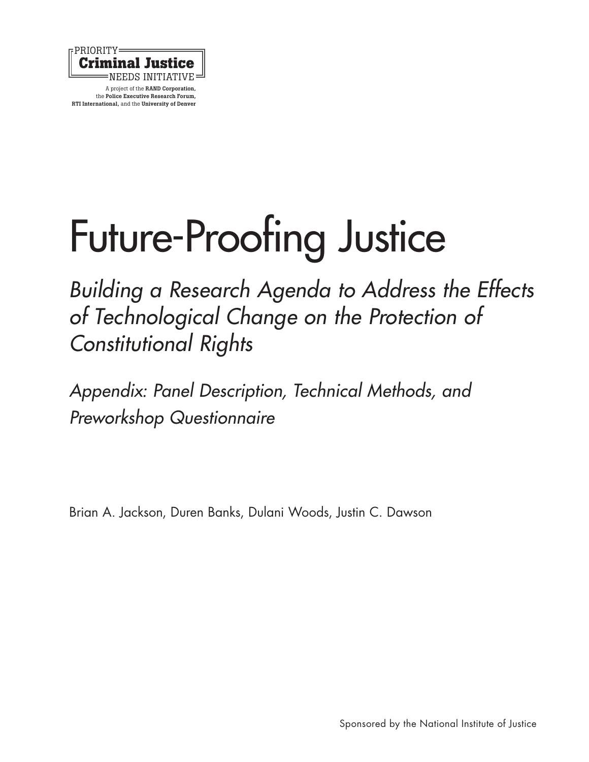

# [Future-Proofing Justice](http://www.rand.org/pubs/research_reports/RR1748.html)

*Building a Research Agenda to Address the Effects of Technological Change on the Protection of Constitutional Rights*

*Appendix: Panel Description, Technical Methods, and Preworkshop Questionnaire*

Brian A. Jackson, Duren Banks, Dulani Woods, Justin C. Dawson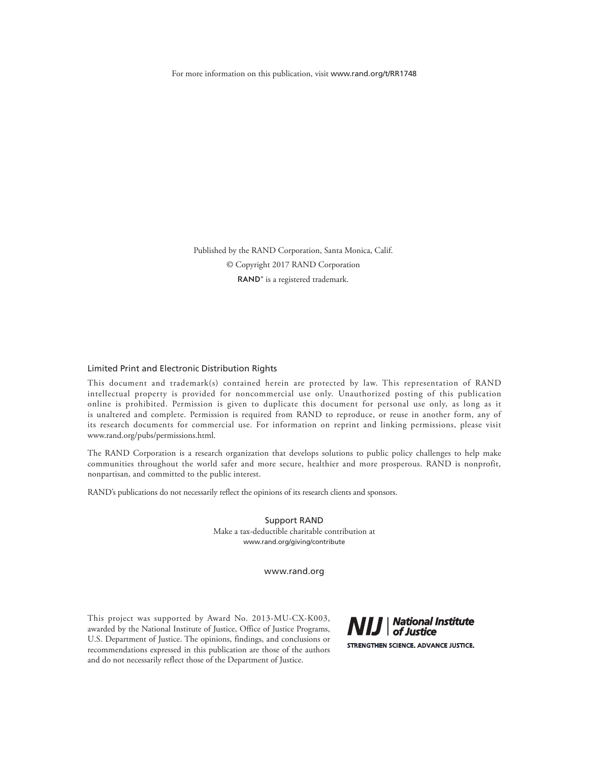For more information on this publication, visit [www.rand.org/t/RR1748](http://www.rand.org/t/RR1748)

Published by the RAND Corporation, Santa Monica, Calif. © Copyright 2017 RAND Corporation RAND<sup>®</sup> is a registered trademark.

#### Limited Print and Electronic Distribution Rights

This document and trademark(s) contained herein are protected by law. This representation of RAND intellectual property is provided for noncommercial use only. Unauthorized posting of this publication online is prohibited. Permission is given to duplicate this document for personal use only, as long as it is unaltered and complete. Permission is required from RAND to reproduce, or reuse in another form, any of its research documents for commercial use. For information on reprint and linking permissions, please visit [www.rand.org/pubs/permissions.html.](http://www.rand.org/pubs/permissions.html)

The RAND Corporation is a research organization that develops solutions to public policy challenges to help make communities throughout the world safer and more secure, healthier and more prosperous. RAND is nonprofit, nonpartisan, and committed to the public interest.

RAND's publications do not necessarily reflect the opinions of its research clients and sponsors.

Support RAND Make a tax-deductible charitable contribution at [www.rand.org/giving/contribute](http://www.rand.org/giving/contribute)

[www.rand.org](http://www.rand.org)

This project was supported by Award No. 2013-MU-CX-K003, awarded by the National Institute of Justice, Office of Justice Programs, U.S. Department of Justice. The opinions, findings, and conclusions or recommendations expressed in this publication are those of the authors and do not necessarily reflect those of the Department of Justice.

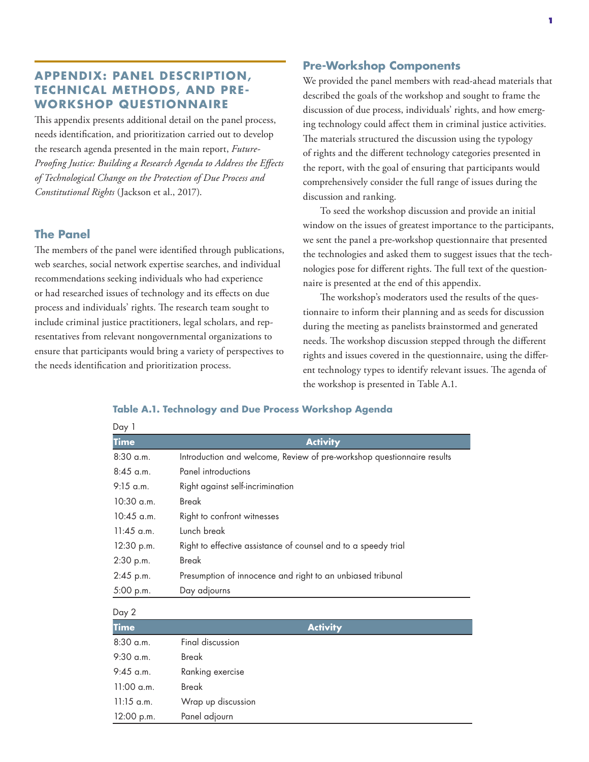# **APPENDIX: PANEL DESCRIPTION, TECHNICAL METHODS, AND PRE-WORKSHOP QUESTIONNAIRE**

This appendix presents additional detail on the panel process, needs identification, and prioritization carried out to develop the research agenda presented in the main report, *Future-Proofing Justice: Building a Research Agenda to Address the Effects of Technological Change on the Protection of Due Process and Constitutional Rights* (Jackson et al., 2017).

#### **The Panel**

The members of the panel were identified through publications, web searches, social network expertise searches, and individual recommendations seeking individuals who had experience or had researched issues of technology and its effects on due process and individuals' rights. The research team sought to include criminal justice practitioners, legal scholars, and representatives from relevant nongovernmental organizations to ensure that participants would bring a variety of perspectives to the needs identification and prioritization process.

#### **Pre-Workshop Components**

We provided the panel members with read-ahead materials that described the goals of the workshop and sought to frame the discussion of due process, individuals' rights, and how emerging technology could affect them in criminal justice activities. The materials structured the discussion using the typology of rights and the different technology categories presented in the report, with the goal of ensuring that participants would comprehensively consider the full range of issues during the discussion and ranking.

To seed the workshop discussion and provide an initial window on the issues of greatest importance to the participants, we sent the panel a pre-workshop questionnaire that presented the technologies and asked them to suggest issues that the technologies pose for different rights. The full text of the questionnaire is presented at the end of this appendix.

The workshop's moderators used the results of the questionnaire to inform their planning and as seeds for discussion during the meeting as panelists brainstormed and generated needs. The workshop discussion stepped through the different rights and issues covered in the questionnaire, using the different technology types to identify relevant issues. The agenda of the workshop is presented in Table A.1.

#### **Table A.1. Technology and Due Process Workshop Agenda**

| Day 1        |                                                                        |
|--------------|------------------------------------------------------------------------|
| <b>Time</b>  | <b>Activity</b>                                                        |
| $8:30$ a.m.  | Introduction and welcome, Review of pre-workshop questionnaire results |
| $8:45$ a.m.  | Panel introductions                                                    |
| $9:15$ a.m.  | Right against self-incrimination                                       |
| $10:30$ a.m. | <b>Break</b>                                                           |
| $10:45$ a.m. | Right to confront witnesses                                            |
| $11:45$ a.m. | Lunch break                                                            |
| 12:30 p.m.   | Right to effective assistance of counsel and to a speedy trial         |
| 2:30 p.m.    | <b>Break</b>                                                           |
| 2:45 p.m.    | Presumption of innocence and right to an unbiased tribunal             |
| 5:00 p.m.    | Day adjourns                                                           |
| Day 2        |                                                                        |
| <b>Time</b>  | <b>Activity</b>                                                        |
| $8:30$ a.m.  | Final discussion                                                       |
| $9:30$ a.m.  | Break                                                                  |
| $9:45$ a.m.  | Ranking exercise                                                       |
|              |                                                                        |

11:15 a.m. Wrap up discussion 12:00 p.m. Panel adjourn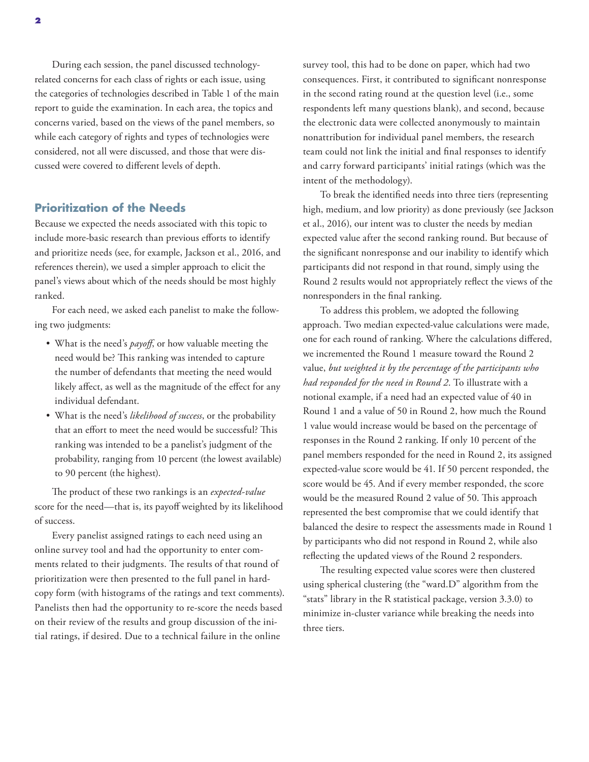concerns varied, based on the views of the panel members, so while each category of rights and types of technologies were considered, not all were discussed, and those that were discussed were covered to different levels of depth.

# **Prioritization of the Needs**

Because we expected the needs associated with this topic to include more-basic research than previous efforts to identify and prioritize needs (see, for example, Jackson et al., 2016, and references therein), we used a simpler approach to elicit the panel's views about which of the needs should be most highly ranked.

For each need, we asked each panelist to make the following two judgments:

- What is the need's *payoff*, or how valuable meeting the need would be? This ranking was intended to capture the number of defendants that meeting the need would likely affect, as well as the magnitude of the effect for any individual defendant.
- What is the need's *likelihood of success*, or the probability that an effort to meet the need would be successful? This ranking was intended to be a panelist's judgment of the probability, ranging from 10 percent (the lowest available) to 90 percent (the highest).

The product of these two rankings is an *expected-value* score for the need—that is, its payoff weighted by its likelihood of success.

Every panelist assigned ratings to each need using an online survey tool and had the opportunity to enter comments related to their judgments. The results of that round of prioritization were then presented to the full panel in hardcopy form (with histograms of the ratings and text comments). Panelists then had the opportunity to re-score the needs based on their review of the results and group discussion of the initial ratings, if desired. Due to a technical failure in the online

survey tool, this had to be done on paper, which had two consequences. First, it contributed to significant nonresponse in the second rating round at the question level (i.e., some respondents left many questions blank), and second, because the electronic data were collected anonymously to maintain nonattribution for individual panel members, the research team could not link the initial and final responses to identify and carry forward participants' initial ratings (which was the intent of the methodology).

To break the identified needs into three tiers (representing high, medium, and low priority) as done previously (see Jackson et al., 2016), our intent was to cluster the needs by median expected value after the second ranking round. But because of the significant nonresponse and our inability to identify which participants did not respond in that round, simply using the Round 2 results would not appropriately reflect the views of the nonresponders in the final ranking.

To address this problem, we adopted the following approach. Two median expected-value calculations were made, one for each round of ranking. Where the calculations differed, we incremented the Round 1 measure toward the Round 2 value, *but weighted it by the percentage of the participants who had responded for the need in Round 2*. To illustrate with a notional example, if a need had an expected value of 40 in Round 1 and a value of 50 in Round 2, how much the Round 1 value would increase would be based on the percentage of responses in the Round 2 ranking. If only 10 percent of the panel members responded for the need in Round 2, its assigned expected-value score would be 41. If 50 percent responded, the score would be 45. And if every member responded, the score would be the measured Round 2 value of 50. This approach represented the best compromise that we could identify that balanced the desire to respect the assessments made in Round 1 by participants who did not respond in Round 2, while also reflecting the updated views of the Round 2 responders.

The resulting expected value scores were then clustered using spherical clustering (the "ward.D" algorithm from the "stats" library in the R statistical package, version 3.3.0) to minimize in-cluster variance while breaking the needs into three tiers.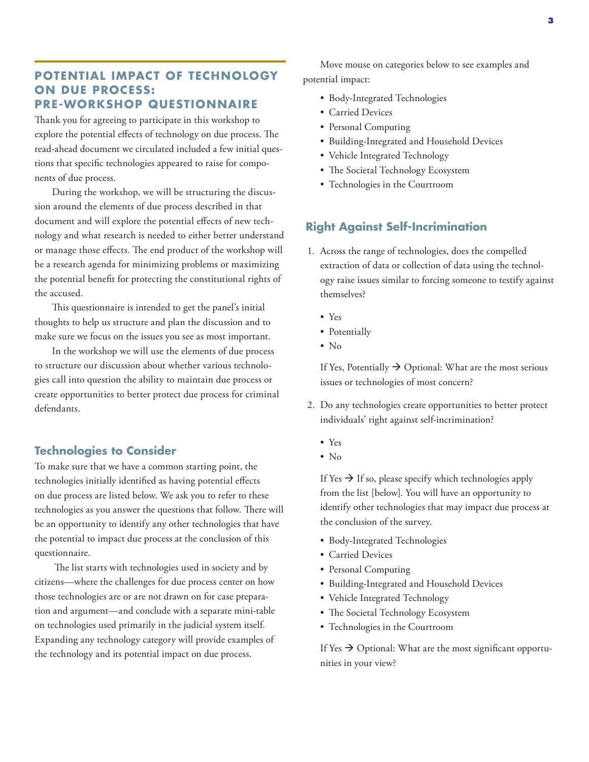## **POTENTIAL IMPACT OF TECHNOLOGY ON DUE PROCESS: PRE-WORKSHOP QUESTIONNAIRE**

Thank you for agreeing to participate in this workshop to explore the potential effects of technology on due process. The read-ahead document we circulated included a few initial questions that specific technologies appeared to raise for components of due process.

During the workshop, we will be structuring the discussion around the elements of due process described in that document and will explore the potential effects of new technology and what research is needed to either better understand or manage those effects. The end product of the workshop will be a research agenda for minimizing problems or maximizing the potential benefit for protecting the constitutional rights of the accused.

This questionnaire is intended to get the panel's initial thoughts to help us structure and plan the discussion and to make sure we focus on the issues you see as most important.

In the workshop we will use the elements of due process to structure our discussion about whether various technologies call into question the ability to maintain due process or create opportunities to better protect due process for criminal defendants.

# **Technologies to Consider**

To make sure that we have a common starting point, the technologies initially identified as having potential effects on due process are listed below. We ask you to refer to these technologies as you answer the questions that follow. There will be an opportunity to identify any other technologies that have the potential to impact due process at the conclusion of this questionnaire.

 The list starts with technologies used in society and by citizens—where the challenges for due process center on how those technologies are or are not drawn on for case preparation and argument—and conclude with a separate mini-table on technologies used primarily in the judicial system itself. Expanding any technology category will provide examples of the technology and its potential impact on due process.

Move mouse on categories below to see examples and potential impact:

- Body-Integrated Technologies
- Carried Devices
- Personal Computing
- Building-Integrated and Household Devices
- Vehicle Integrated Technology
- The Societal Technology Ecosystem
- Technologies in the Courtroom

# **Right Against Self-Incrimination**

- 1. Across the range of technologies, does the compelled extraction of data or collection of data using the technology raise issues similar to forcing someone to testify against themselves?
	- Yes
	- Potentially
	- No

If Yes, Potentially  $\rightarrow$  Optional: What are the most serious issues or technologies of most concern?

- 2. Do any technologies create opportunities to better protect individuals' right against self-incrimination?
	- Yes
	- No

If Yes  $\rightarrow$  If so, please specify which technologies apply from the list [below]. You will have an opportunity to identify other technologies that may impact due process at the conclusion of the survey.

- Body-Integrated Technologies
- Carried Devices
- Personal Computing
- Building-Integrated and Household Devices
- Vehicle Integrated Technology
- The Societal Technology Ecosystem
- Technologies in the Courtroom

If Yes  $\rightarrow$  Optional: What are the most significant opportunities in your view?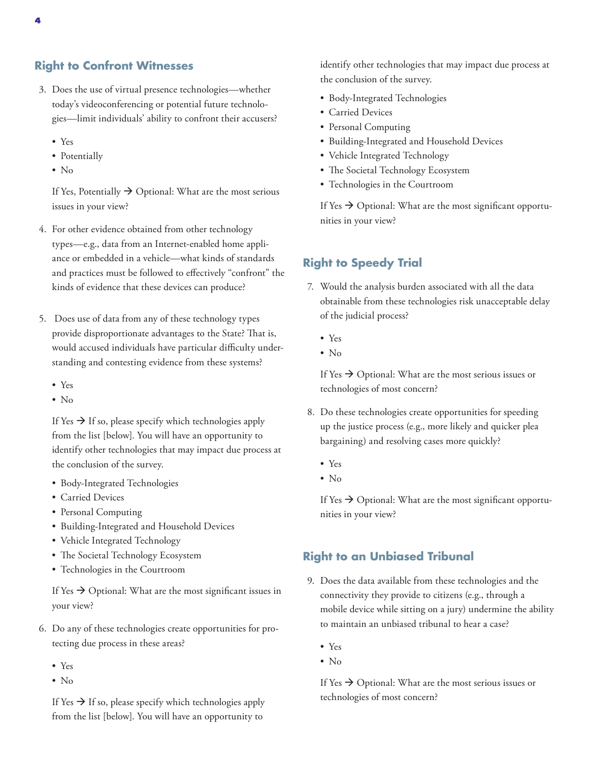#### **Right to Confront Witnesses**

- 3. Does the use of virtual presence technologies—whether today's videoconferencing or potential future technologies—limit individuals' ability to confront their accusers?
	- Yes
	- Potentially
	- No

If Yes, Potentially  $\rightarrow$  Optional: What are the most serious issues in your view?

- 4. For other evidence obtained from other technology types—e.g., data from an Internet-enabled home appliance or embedded in a vehicle—what kinds of standards and practices must be followed to effectively "confront" the kinds of evidence that these devices can produce?
- 5. Does use of data from any of these technology types provide disproportionate advantages to the State? That is, would accused individuals have particular difficulty understanding and contesting evidence from these systems?
	- Yes
	- $\bullet$  No

If Yes  $\rightarrow$  If so, please specify which technologies apply from the list [below]. You will have an opportunity to identify other technologies that may impact due process at the conclusion of the survey.

- Body-Integrated Technologies
- Carried Devices
- Personal Computing
- Building-Integrated and Household Devices
- Vehicle Integrated Technology
- The Societal Technology Ecosystem
- Technologies in the Courtroom

If Yes  $\rightarrow$  Optional: What are the most significant issues in your view?

- 6. Do any of these technologies create opportunities for protecting due process in these areas?
	- Yes
	- No

If Yes  $\rightarrow$  If so, please specify which technologies apply from the list [below]. You will have an opportunity to

identify other technologies that may impact due process at the conclusion of the survey.

- Body-Integrated Technologies
- Carried Devices
- Personal Computing
- Building-Integrated and Household Devices
- Vehicle Integrated Technology
- The Societal Technology Ecosystem
- Technologies in the Courtroom

If Yes  $\rightarrow$  Optional: What are the most significant opportunities in your view?

# **Right to Speedy Trial**

- 7. Would the analysis burden associated with all the data obtainable from these technologies risk unacceptable delay of the judicial process?
	- Yes
	- No

If Yes  $\rightarrow$  Optional: What are the most serious issues or technologies of most concern?

- 8. Do these technologies create opportunities for speeding up the justice process (e.g., more likely and quicker plea bargaining) and resolving cases more quickly?
	- Yes
	- $\bullet$  No

If Yes  $\rightarrow$  Optional: What are the most significant opportunities in your view?

# **Right to an Unbiased Tribunal**

- 9. Does the data available from these technologies and the connectivity they provide to citizens (e.g., through a mobile device while sitting on a jury) undermine the ability to maintain an unbiased tribunal to hear a case?
	- Yes
	- No

If Yes  $\rightarrow$  Optional: What are the most serious issues or technologies of most concern?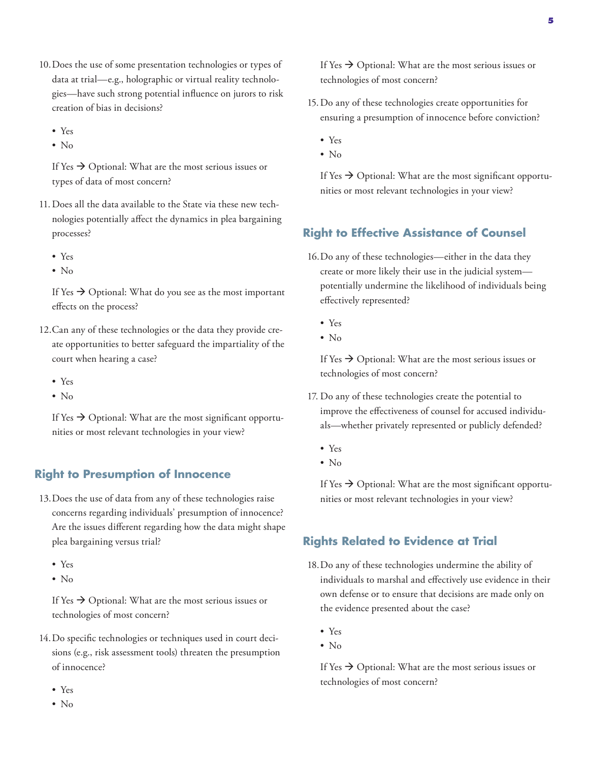- 10.Does the use of some presentation technologies or types of data at trial—e.g., holographic or virtual reality technologies—have such strong potential influence on jurors to risk creation of bias in decisions?
	- Yes
	- $\bullet$  No

If Yes  $\rightarrow$  Optional: What are the most serious issues or types of data of most concern?

- 11.Does all the data available to the State via these new technologies potentially affect the dynamics in plea bargaining processes?
	- Yes
	- No

If Yes  $\rightarrow$  Optional: What do you see as the most important effects on the process?

- 12.Can any of these technologies or the data they provide create opportunities to better safeguard the impartiality of the court when hearing a case?
	- Yes
	- No

If Yes  $\rightarrow$  Optional: What are the most significant opportunities or most relevant technologies in your view?

#### **Right to Presumption of Innocence**

- 13.Does the use of data from any of these technologies raise concerns regarding individuals' presumption of innocence? Are the issues different regarding how the data might shape plea bargaining versus trial?
	- Yes
	- $\bullet$  No

If Yes  $\rightarrow$  Optional: What are the most serious issues or technologies of most concern?

- 14.Do specific technologies or techniques used in court decisions (e.g., risk assessment tools) threaten the presumption of innocence?
	- Yes
	- No
- 15.Do any of these technologies create opportunities for ensuring a presumption of innocence before conviction?
	- Yes
	- No

If Yes  $\rightarrow$  Optional: What are the most significant opportunities or most relevant technologies in your view?

### **Right to Effective Assistance of Counsel**

- 16.Do any of these technologies—either in the data they create or more likely their use in the judicial system potentially undermine the likelihood of individuals being effectively represented?
	- Yes
	- $\bullet$  No

If Yes  $\rightarrow$  Optional: What are the most serious issues or technologies of most concern?

- 17. Do any of these technologies create the potential to improve the effectiveness of counsel for accused individuals—whether privately represented or publicly defended?
	- Yes
	- $\bullet$  No

If Yes  $\rightarrow$  Optional: What are the most significant opportunities or most relevant technologies in your view?

### **Rights Related to Evidence at Trial**

- 18.Do any of these technologies undermine the ability of individuals to marshal and effectively use evidence in their own defense or to ensure that decisions are made only on the evidence presented about the case?
	- Yes
	- No

If Yes  $\rightarrow$  Optional: What are the most serious issues or technologies of most concern?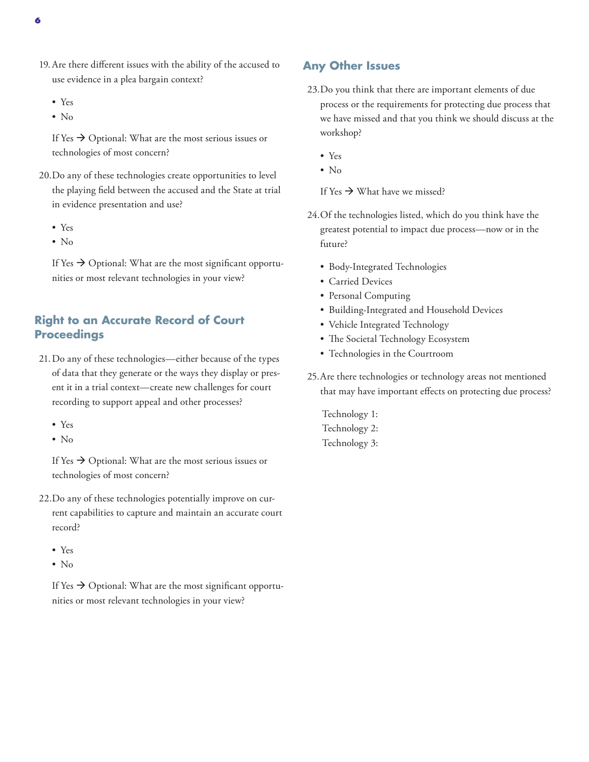- 19.Are there different issues with the ability of the accused to use evidence in a plea bargain context?
	- Yes
	- No

If Yes  $\rightarrow$  Optional: What are the most serious issues or technologies of most concern?

- 20.Do any of these technologies create opportunities to level the playing field between the accused and the State at trial in evidence presentation and use?
	- Yes
	- $\bullet$  No

If Yes  $\rightarrow$  Optional: What are the most significant opportunities or most relevant technologies in your view?

## **Right to an Accurate Record of Court Proceedings**

- 21.Do any of these technologies—either because of the types of data that they generate or the ways they display or present it in a trial context—create new challenges for court recording to support appeal and other processes?
	- Yes
	- No

If Yes  $\rightarrow$  Optional: What are the most serious issues or technologies of most concern?

- 22.Do any of these technologies potentially improve on current capabilities to capture and maintain an accurate court record?
	- Yes
	- $\bullet$  No

If Yes  $\rightarrow$  Optional: What are the most significant opportunities or most relevant technologies in your view?

#### **Any Other Issues**

- 23.Do you think that there are important elements of due process or the requirements for protecting due process that we have missed and that you think we should discuss at the workshop?
	- Yes
	- No

If Yes  $\rightarrow$  What have we missed?

- 24.Of the technologies listed, which do you think have the greatest potential to impact due process—now or in the future?
	- Body-Integrated Technologies
	- Carried Devices
	- Personal Computing
	- Building-Integrated and Household Devices
	- Vehicle Integrated Technology
	- The Societal Technology Ecosystem
	- Technologies in the Courtroom
- 25.Are there technologies or technology areas not mentioned that may have important effects on protecting due process?
	- Technology 1: Technology 2: Technology 3: